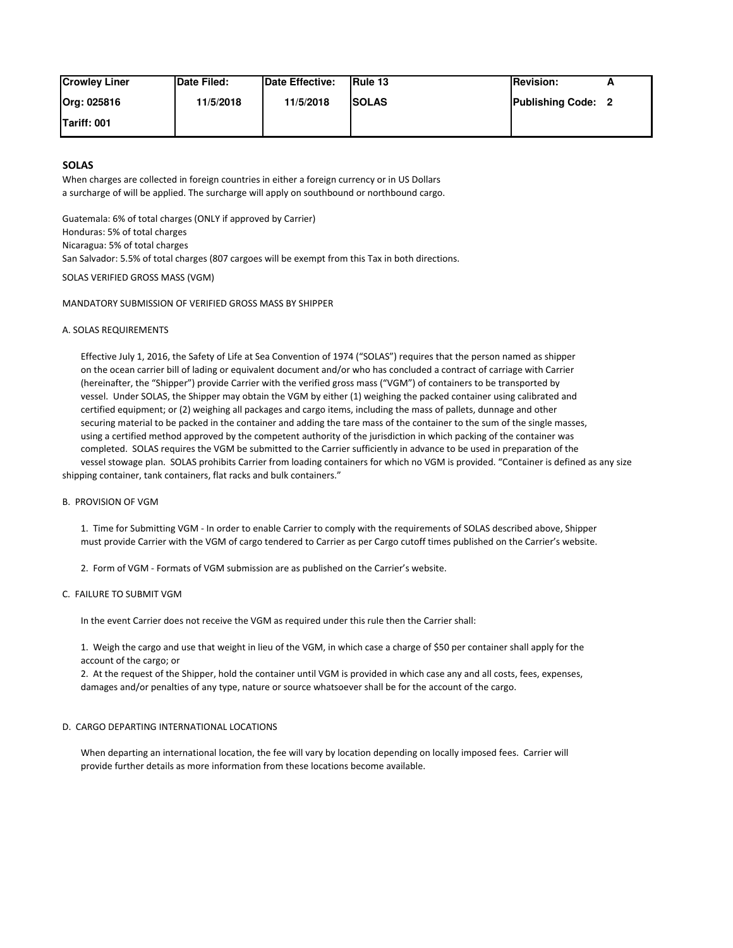| <b>Crowley Liner</b> | <b>Date Filed:</b> | Date Effective: | <b>IRule 13</b> | <b>IRevision:</b>         |  |
|----------------------|--------------------|-----------------|-----------------|---------------------------|--|
| Org: 025816          | 11/5/2018          | 11/5/2018       | <b>ISOLAS</b>   | <b>Publishing Code: 2</b> |  |
| <b>ITariff: 001</b>  |                    |                 |                 |                           |  |

# **SOLAS**

When charges are collected in foreign countries in either a foreign currency or in US Dollars a surcharge of will be applied. The surcharge will apply on southbound or northbound cargo.

Guatemala: 6% of total charges (ONLY if approved by Carrier) Honduras: 5% of total charges Nicaragua: 5% of total charges San Salvador: 5.5% of total charges (807 cargoes will be exempt from this Tax in both directions.

SOLAS VERIFIED GROSS MASS (VGM)

## MANDATORY SUBMISSION OF VERIFIED GROSS MASS BY SHIPPER

# A. SOLAS REQUIREMENTS

 Effective July 1, 2016, the Safety of Life at Sea Convention of 1974 ("SOLAS") requires that the person named as shipper on the ocean carrier bill of lading or equivalent document and/or who has concluded a contract of carriage with Carrier (hereinafter, the "Shipper") provide Carrier with the verified gross mass ("VGM") of containers to be transported by vessel. Under SOLAS, the Shipper may obtain the VGM by either (1) weighing the packed container using calibrated and certified equipment; or (2) weighing all packages and cargo items, including the mass of pallets, dunnage and other securing material to be packed in the container and adding the tare mass of the container to the sum of the single masses, using a certified method approved by the competent authority of the jurisdiction in which packing of the container was completed. SOLAS requires the VGM be submitted to the Carrier sufficiently in advance to be used in preparation of the vessel stowage plan. SOLAS prohibits Carrier from loading containers for which no VGM is provided. "Container is defined as any size

shipping container, tank containers, flat racks and bulk containers."

### B. PROVISION OF VGM

 1. Time for Submitting VGM - In order to enable Carrier to comply with the requirements of SOLAS described above, Shipper must provide Carrier with the VGM of cargo tendered to Carrier as per Cargo cutoff times published on the Carrier's website.

2. Form of VGM - Formats of VGM submission are as published on the Carrier's website.

#### C. FAILURE TO SUBMIT VGM

In the event Carrier does not receive the VGM as required under this rule then the Carrier shall:

 1. Weigh the cargo and use that weight in lieu of the VGM, in which case a charge of \$50 per container shall apply for the account of the cargo; or

 2. At the request of the Shipper, hold the container until VGM is provided in which case any and all costs, fees, expenses, damages and/or penalties of any type, nature or source whatsoever shall be for the account of the cargo.

#### D. CARGO DEPARTING INTERNATIONAL LOCATIONS

 When departing an international location, the fee will vary by location depending on locally imposed fees. Carrier will provide further details as more information from these locations become available.